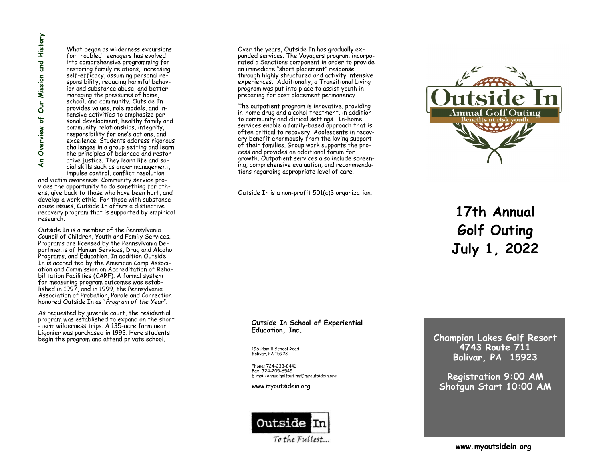What began as wilderness excursions for troubled teenagers has evolved into comprehensive programming for restoring family relations, increasing self -efficacy, assuming personal responsibility, reducing harmful behavior and substance abuse, and better managing the pressures of home, school, and community. Outside In provides values, role models, and intensive activities to emphasize personal development, healthy family and community relationships, integrity, responsibility for one 's actions, and excellence. Students address rigorous challenges in a group setting and learn the principles of balanced and restor ative justice. They learn life and social skills such as anger management, impulse control, conflict resolution **Example 12**<br>
What began as wilderness excursion into comprehensive programming for restoring family relations, increasing<br>
signs sponsibility, reducing harmful behavior and substance abuse, and better<br>
sponsibility, reduc

and victim awareness. Community service provides the opportunity to do something for others, give back to those who have been hurt, and develop a work ethic. For those with substance abuse issues, Outside In offers a distinctive recovery program that is supported by empirical research.

Outside In is a member of the Pennsylvania Council of Children, Youth and Family Services. Programs are licensed by the Pennsylvania Departments of Human Services, Drug and Alcohol Programs, and Education. In addition Outside In is accredited by the American Camp Associ ation and Commission on Accreditation of Rehabilitation Facilities (CARF). A formal system for measuring program outcomes was established in 1997, and in 1999, the Pennsylvania Association of Probation, Parole and Correction honored Outside In as "*Program of the Year*".

As requested by juvenile court, the residential program was established to expand on the short -term wilderness trips. A 135-acre farm near Ligonier was purchased in 1993. Here students

Over the years, Outside In has gradually expanded services. The Voyagers program incorporated a Sanctions component in order to provide an immediate "short placement" response through highly structured and activity intensive experiences. Additionally, a Transitional Living program was put into place to assist youth in preparing for post placement permanency.

The outpatient program is innovative, providing in -home drug and alcohol treatment, in addition to community and clinical settings. In -home services enable a family -based approach that is often critical to recovery. Adolescents in recovery benefit enormously from the loving support of their families. Group work supports the process and provides an additional forum for growth. Outpatient services also include screening, comprehensive evaluation, and recommendations regarding appropriate level of care.

Outside In is a non -profit 501(c)3 organization.



**17th Annual Golf Outing July 1, 2022**

## **Outside In School of Experiential Education, Inc.**

196 Hamill School Road Bolivar, PA 15923

Phone: 724 -238 -8441 Fax: 724 -205 -6545 E -mail: annualgolfouting@myoutsidein.org

www.myoutsidein.org



**Champion Lakes Golf Resort 4743 Route 711 Bolivar, PA 15923**

**Registration 9:00 AM Shotgun Start 10:00 AM**